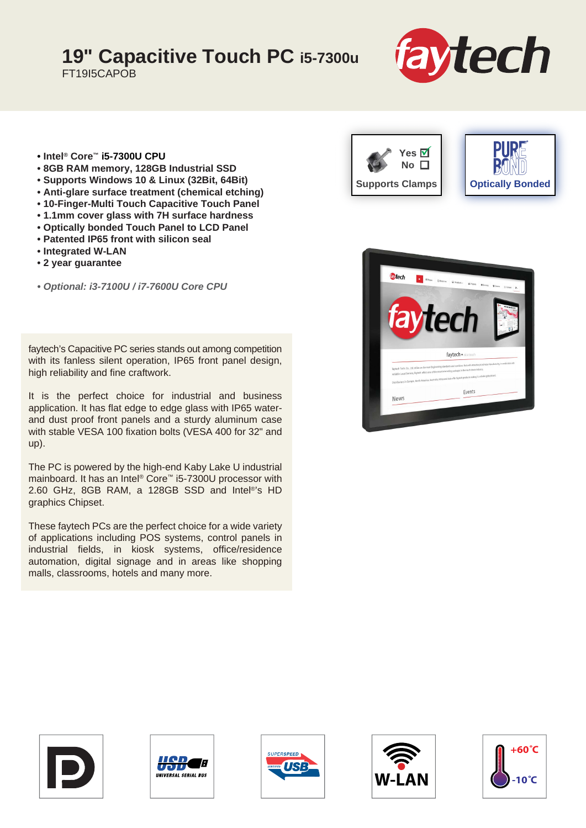## **19" Capacitive Touch PC i5-7300u**

FT19I5CAPOB



- **Intel® Core™ i5-7300U CPU**
- **8GB RAM memory, 128GB Industrial SSD**
- **Supports Windows 10 & Linux (32Bit, 64Bit)**
- **Anti-glare surface treatment (chemical etching)**
- **10-Finger-Multi Touch Capacitive Touch Panel**
- **1.1mm cover glass with 7H surface hardness**
- **Optically bonded Touch Panel to LCD Panel**
- **Patented IP65 front with silicon seal**
- **Integrated W-LAN**
- **2 year guarantee**

*• Optional: i3-7100U / i7-7600U Core CPU*

faytech's Capacitive PC series stands out among competition with its fanless silent operation, IP65 front panel design, high reliability and fine craftwork.

It is the perfect choice for industrial and business application. It has flat edge to edge glass with IP65 waterand dust proof front panels and a sturdy aluminum case with stable VESA 100 fixation bolts (VESA 400 for 32" and up).

The PC is powered by the high-end Kaby Lake U industrial mainboard. It has an Intel® Core™ i5-7300U processor with 2.60 GHz, 8GB RAM, a 128GB SSD and Intel®'s HD graphics Chipset.

These faytech PCs are the perfect choice for a wide variety of applications including POS systems, control panels in industrial fields, in kiosk systems, office/residence automation, digital signage and in areas like shopping malls, classrooms, hotels and many more.